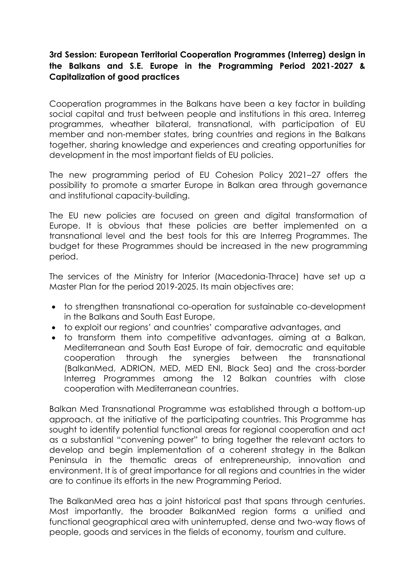## **3rd Session: European Territorial Cooperation Programmes (Interreg) design in the Balkans and S.E. Europe in the Programming Period 2021-2027 & Capitalization of good practices**

Cooperation programmes in the Balkans have been a key factor in building social capital and trust between people and institutions in this area. Interreg programmes, wheather bilateral, transnational, with participation of EU member and non-member states, bring countries and regions in the Balkans together, sharing knowledge and experiences and creating opportunities for development in the most important fields of EU policies.

The new programming period of EU Cohesion Policy 2021–27 offers the possibility to promote a smarter Europe in Balkan area through governance and institutional capacity-building.

The EU new policies are focused on green and digital transformation of Europe. It is obvious that these policies are better implemented on a transnational level and the best tools for this are Interreg Programmes. The budget for these Programmes should be increased in the new programming period.

The services of the Ministry for Interior (Macedonia-Thrace) have set up a Master Plan for the period 2019-2025. Its main objectives are:

- to strengthen transnational co-operation for sustainable co-development in the Balkans and South East Europe,
- to exploit our regions' and countries' comparative advantages, and
- to transform them into competitive advantages, aiming at a Balkan, Mediterranean and South East Europe of fair, democratic and equitable cooperation through the synergies between the transnational (BalkanMed, ADRION, MED, MED ENI, Black Sea) and the cross-border Interreg Programmes among the 12 Balkan countries with close cooperation with Mediterranean countries.

Balkan Med Transnational Programme was established through a bottom-up approach, at the initiative of the participating countries. This Programme has sought to identify potential functional areas for regional cooperation and act as a substantial "convening power" to bring together the relevant actors to develop and begin implementation of a coherent strategy in the Balkan Peninsula in the thematic areas of entrepreneurship, innovation and environment. It is of great importance for all regions and countries in the wider are to continue its efforts in the new Programming Period.

The BalkanMed area has a joint historical past that spans through centuries. Most importantly, the broader BalkanMed region forms a unified and functional geographical area with uninterrupted, dense and two-way flows of people, goods and services in the fields of economy, tourism and culture.